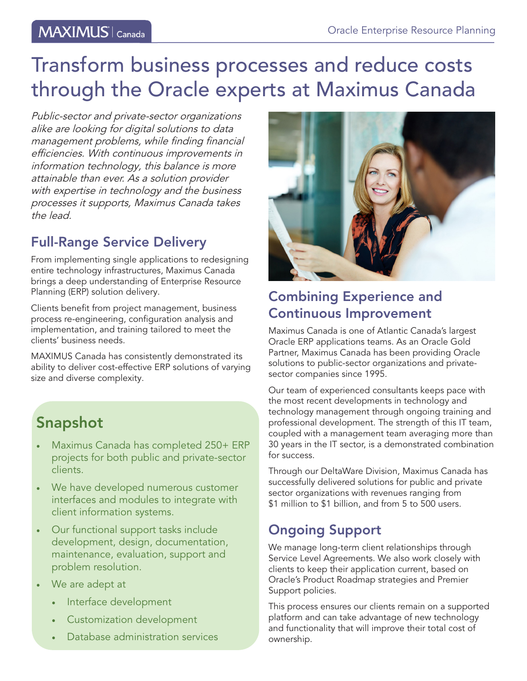# Transform business processes and reduce costs through the Oracle experts at Maximus Canada

Public-sector and private-sector organizations alike are looking for digital solutions to data management problems, while finding financial efficiencies. With continuous improvements in information technology, this balance is more attainable than ever. As a solution provider with expertise in technology and the business processes it supports, Maximus Canada takes the lead.

### Full-Range Service Delivery

From implementing single applications to redesigning entire technology infrastructures, Maximus Canada brings a deep understanding of Enterprise Resource Planning (ERP) solution delivery.

Clients benefit from project management, business process re-engineering, configuration analysis and implementation, and training tailored to meet the clients' business needs.

MAXIMUS Canada has consistently demonstrated its ability to deliver cost-effective ERP solutions of varying size and diverse complexity.

## Snapshot

- Maximus Canada has completed 250+ ERP projects for both public and private-sector clients.
- We have developed numerous customer interfaces and modules to integrate with client information systems.
- Our functional support tasks include development, design, documentation, maintenance, evaluation, support and problem resolution.
- We are adept at
	- Interface development
	- Customization development
	- Database administration services



### Combining Experience and Continuous Improvement

Maximus Canada is one of Atlantic Canada's largest Oracle ERP applications teams. As an Oracle Gold Partner, Maximus Canada has been providing Oracle solutions to public-sector organizations and privatesector companies since 1995.

Our team of experienced consultants keeps pace with the most recent developments in technology and technology management through ongoing training and professional development. The strength of this IT team, coupled with a management team averaging more than 30 years in the IT sector, is a demonstrated combination for success.

Through our DeltaWare Division, Maximus Canada has successfully delivered solutions for public and private sector organizations with revenues ranging from \$1 million to \$1 billion, and from 5 to 500 users.

### Ongoing Support

We manage long-term client relationships through Service Level Agreements. We also work closely with clients to keep their application current, based on Oracle's Product Roadmap strategies and Premier Support policies.

This process ensures our clients remain on a supported platform and can take advantage of new technology and functionality that will improve their total cost of ownership.